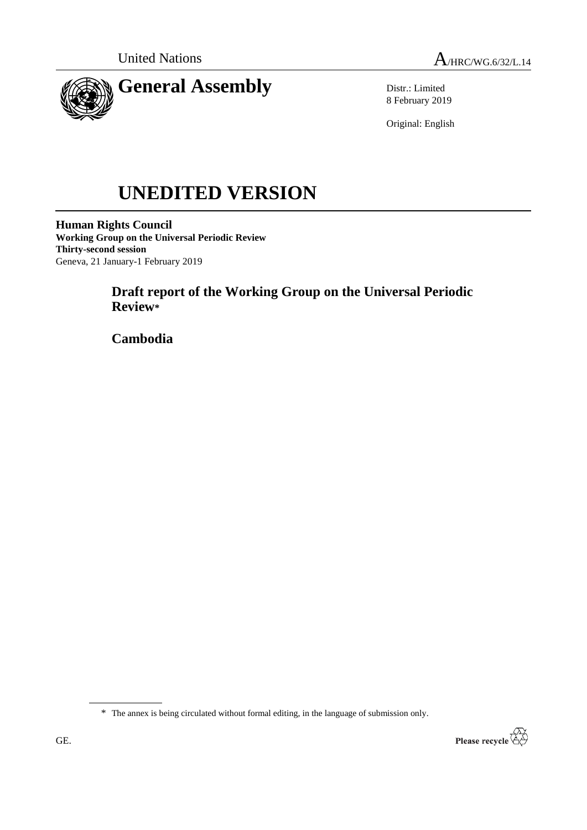



Distr.: Limited 8 February 2019

Original: English

# **UNEDITED VERSION**

**Human Rights Council Working Group on the Universal Periodic Review Thirty-second session** Geneva, 21 January-1 February 2019

# **Draft report of the Working Group on the Universal Periodic Review\***

**Cambodia**

\* The annex is being circulated without formal editing, in the language of submission only.

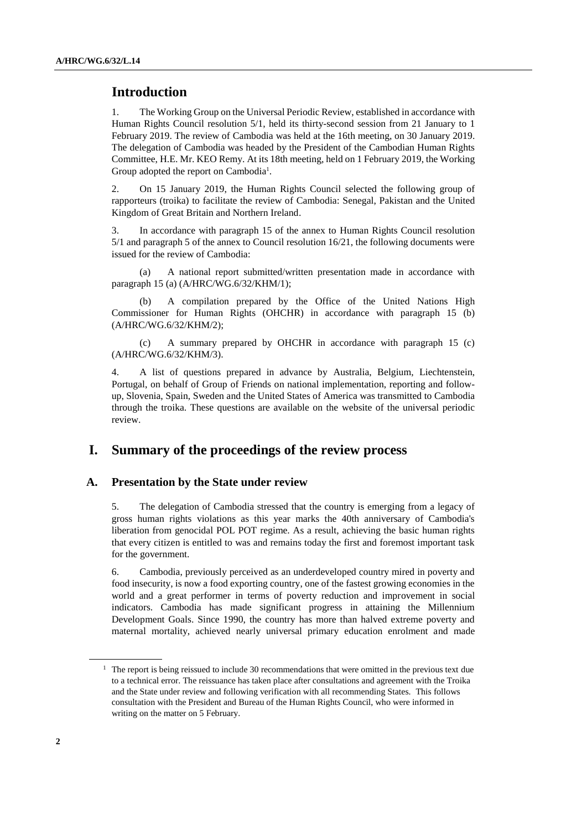# **Introduction**

1. The Working Group on the Universal Periodic Review, established in accordance with Human Rights Council resolution 5/1, held its thirty-second session from 21 January to 1 February 2019. The review of Cambodia was held at the 16th meeting, on 30 January 2019. The delegation of Cambodia was headed by the President of the Cambodian Human Rights Committee, H.E. Mr. KEO Remy. At its 18th meeting, held on 1 February 2019, the Working Group adopted the report on Cambodia<sup>1</sup>.

2. On 15 January 2019, the Human Rights Council selected the following group of rapporteurs (troika) to facilitate the review of Cambodia: Senegal, Pakistan and the United Kingdom of Great Britain and Northern Ireland.

3. In accordance with paragraph 15 of the annex to Human Rights Council resolution 5/1 and paragraph 5 of the annex to Council resolution 16/21, the following documents were issued for the review of Cambodia:

(a) A national report submitted/written presentation made in accordance with paragraph 15 (a) (A/HRC/WG.6/32/KHM/1);

A compilation prepared by the Office of the United Nations High Commissioner for Human Rights (OHCHR) in accordance with paragraph 15 (b) (A/HRC/WG.6/32/KHM/2);

(c) A summary prepared by OHCHR in accordance with paragraph 15 (c) (A/HRC/WG.6/32/KHM/3).

4. A list of questions prepared in advance by Australia, Belgium, Liechtenstein, Portugal, on behalf of Group of Friends on national implementation, reporting and followup, Slovenia, Spain, Sweden and the United States of America was transmitted to Cambodia through the troika. These questions are available on the website of the universal periodic review.

# **I. Summary of the proceedings of the review process**

#### **A. Presentation by the State under review**

5. The delegation of Cambodia stressed that the country is emerging from a legacy of gross human rights violations as this year marks the 40th anniversary of Cambodia's liberation from genocidal POL POT regime. As a result, achieving the basic human rights that every citizen is entitled to was and remains today the first and foremost important task for the government.

6. Cambodia, previously perceived as an underdeveloped country mired in poverty and food insecurity, is now a food exporting country, one of the fastest growing economies in the world and a great performer in terms of poverty reduction and improvement in social indicators. Cambodia has made significant progress in attaining the Millennium Development Goals. Since 1990, the country has more than halved extreme poverty and maternal mortality, achieved nearly universal primary education enrolment and made

 $1$  The report is being reissued to include 30 recommendations that were omitted in the previous text due to a technical error. The reissuance has taken place after consultations and agreement with the Troika and the State under review and following verification with all recommending States. This follows consultation with the President and Bureau of the Human Rights Council, who were informed in writing on the matter on 5 February.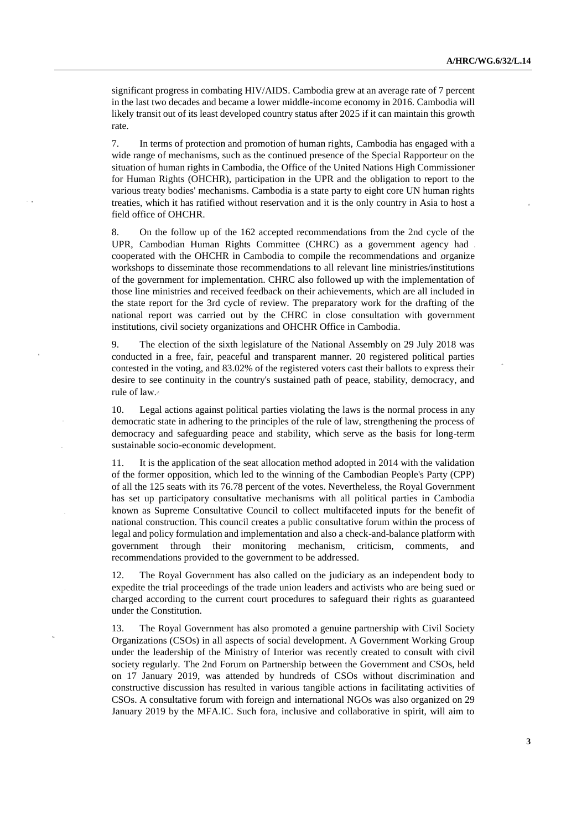significant progress in combating HIV/AIDS. Cambodia grew at an average rate of 7 percent in the last two decades and became a lower middle-income economy in 2016. Cambodia will likely transit out of its least developed country status after 2025 if it can maintain this growth rate.

7. In terms of protection and promotion of human rights, Cambodia has engaged with a wide range of mechanisms, such as the continued presence of the Special Rapporteur on the situation of human rights in Cambodia, the Office of the United Nations High Commissioner for Human Rights (OHCHR), participation in the UPR and the obligation to report to the various treaty bodies' mechanisms. Cambodia is a state party to eight core UN human rights treaties, which it has ratified without reservation and it is the only country in Asia to host a field office of OHCHR.

8. On the follow up of the 162 accepted recommendations from the 2nd cycle of the UPR, Cambodian Human Rights Committee (CHRC) as a government agency had cooperated with the OHCHR in Cambodia to compile the recommendations and organize workshops to disseminate those recommendations to all relevant line ministries/institutions of the government for implementation. CHRC also followed up with the implementation of those line ministries and received feedback on their achievements, which are all included in the state report for the 3rd cycle of review. The preparatory work for the drafting of the national report was carried out by the CHRC in close consultation with government institutions, civil society organizations and OHCHR Office in Cambodia.

9. The election of the sixth legislature of the National Assembly on 29 July 2018 was conducted in a free, fair, peaceful and transparent manner. 20 registered political parties contested in the voting, and 83.02% of the registered voters cast their ballots to express their desire to see continuity in the country's sustained path of peace, stability, democracy, and rule of law.

10. Legal actions against political parties violating the laws is the normal process in any democratic state in adhering to the principles of the rule of law, strengthening the process of democracy and safeguarding peace and stability, which serve as the basis for long-term sustainable socio-economic development.

11. It is the application of the seat allocation method adopted in 2014 with the validation of the former opposition, which led to the winning of the Cambodian People's Party (CPP) of all the 125 seats with its 76.78 percent of the votes. Nevertheless, the Royal Government has set up participatory consultative mechanisms with all political parties in Cambodia known as Supreme Consultative Council to collect multifaceted inputs for the benefit of national construction. This council creates a public consultative forum within the process of legal and policy formulation and implementation and also a check-and-balance platform with government through their monitoring mechanism, criticism, comments, and recommendations provided to the government to be addressed.

12. The Royal Government has also called on the judiciary as an independent body to expedite the trial proceedings of the trade union leaders and activists who are being sued or charged according to the current court procedures to safeguard their rights as guaranteed under the Constitution.

13. The Royal Government has also promoted a genuine partnership with Civil Society Organizations (CSOs) in all aspects of social development. A Government Working Group under the leadership of the Ministry of Interior was recently created to consult with civil society regularly. The 2nd Forum on Partnership between the Government and CSOs, held on 17 January 2019, was attended by hundreds of CSOs without discrimination and constructive discussion has resulted in various tangible actions in facilitating activities of CSOs. A consultative forum with foreign and international NGOs was also organized on 29 January 2019 by the MFA.IC. Such fora, inclusive and collaborative in spirit, will aim to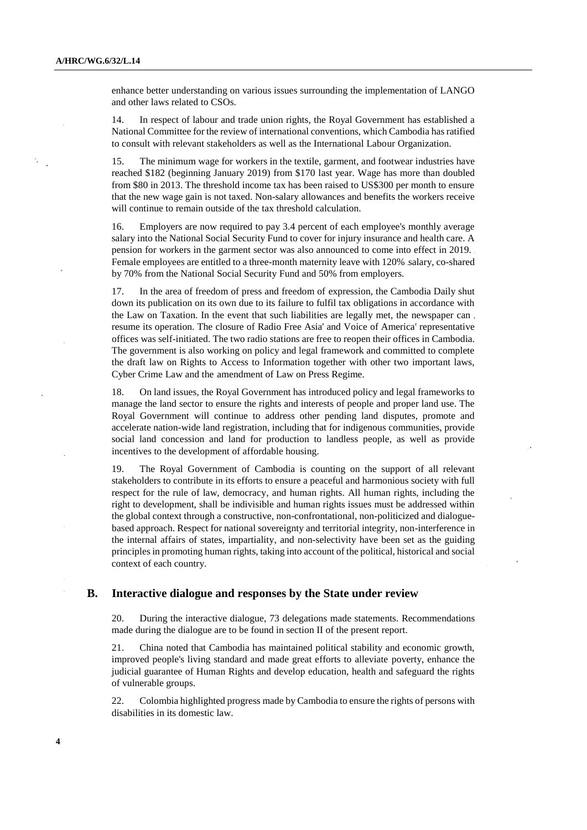enhance better understanding on various issues surrounding the implementation of LANGO and other laws related to CSOs.

14. In respect of labour and trade union rights, the Royal Government has established a National Committee for the review of international conventions, which Cambodia has ratified to consult with relevant stakeholders as well as the International Labour Organization.

15. The minimum wage for workers in the textile, garment, and footwear industries have reached \$182 (beginning January 2019) from \$170 last year. Wage has more than doubled from \$80 in 2013. The threshold income tax has been raised to US\$300 per month to ensure that the new wage gain is not taxed. Non-salary allowances and benefits the workers receive will continue to remain outside of the tax threshold calculation.

16. Employers are now required to pay 3.4 percent of each employee's monthly average salary into the National Social Security Fund to cover for injury insurance and health care. A pension for workers in the garment sector was also announced to come into effect in 2019. Female employees are entitled to a three-month maternity leave with 120% salary, co-shared by 70% from the National Social Security Fund and 50% from employers.

17. In the area of freedom of press and freedom of expression, the Cambodia Daily shut down its publication on its own due to its failure to fulfil tax obligations in accordance with the Law on Taxation. In the event that such liabilities are legally met, the newspaper can. resume its operation. The closure of Radio Free Asia' and Voice of America' representative offices was self-initiated. The two radio stations are free to reopen their offices in Cambodia. The government is also working on policy and legal framework and committed to complete the draft law on Rights to Access to Information together with other two important laws, Cyber Crime Law and the amendment of Law on Press Regime.

18. On land issues, the Royal Government has introduced policy and legal frameworks to manage the land sector to ensure the rights and interests of people and proper land use. The Royal Government will continue to address other pending land disputes, promote and accelerate nation-wide land registration, including that for indigenous communities, provide social land concession and land for production to landless people, as well as provide incentives to the development of affordable housing.

19. The Royal Government of Cambodia is counting on the support of all relevant stakeholders to contribute in its efforts to ensure a peaceful and harmonious society with full respect for the rule of law, democracy, and human rights. All human rights, including the right to development, shall be indivisible and human rights issues must be addressed within the global context through a constructive, non-confrontational, non-politicized and dialoguebased approach. Respect for national sovereignty and territorial integrity, non-interference in the internal affairs of states, impartiality, and non-selectivity have been set as the guiding principles in promoting human rights, taking into account of the political, historical and social context of each country.

#### **B. Interactive dialogue and responses by the State under review**

20. During the interactive dialogue, 73 delegations made statements. Recommendations made during the dialogue are to be found in section II of the present report.

21. China noted that Cambodia has maintained political stability and economic growth, improved people's living standard and made great efforts to alleviate poverty, enhance the judicial guarantee of Human Rights and develop education, health and safeguard the rights of vulnerable groups.

22. Colombia highlighted progress made by Cambodia to ensure the rights of persons with disabilities in its domestic law.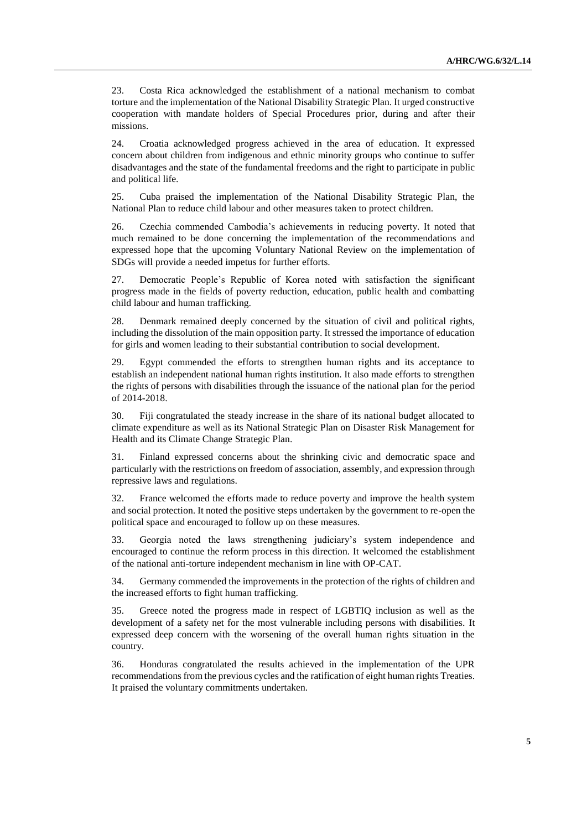23. Costa Rica acknowledged the establishment of a national mechanism to combat torture and the implementation of the National Disability Strategic Plan. It urged constructive cooperation with mandate holders of Special Procedures prior, during and after their missions.

24. Croatia acknowledged progress achieved in the area of education. It expressed concern about children from indigenous and ethnic minority groups who continue to suffer disadvantages and the state of the fundamental freedoms and the right to participate in public and political life.

25. Cuba praised the implementation of the National Disability Strategic Plan, the National Plan to reduce child labour and other measures taken to protect children.

26. Czechia commended Cambodia's achievements in reducing poverty. It noted that much remained to be done concerning the implementation of the recommendations and expressed hope that the upcoming Voluntary National Review on the implementation of SDGs will provide a needed impetus for further efforts.

27. Democratic People's Republic of Korea noted with satisfaction the significant progress made in the fields of poverty reduction, education, public health and combatting child labour and human trafficking.

28. Denmark remained deeply concerned by the situation of civil and political rights, including the dissolution of the main opposition party. It stressed the importance of education for girls and women leading to their substantial contribution to social development.

29. Egypt commended the efforts to strengthen human rights and its acceptance to establish an independent national human rights institution. It also made efforts to strengthen the rights of persons with disabilities through the issuance of the national plan for the period of 2014-2018.

30. Fiji congratulated the steady increase in the share of its national budget allocated to climate expenditure as well as its National Strategic Plan on Disaster Risk Management for Health and its Climate Change Strategic Plan.

31. Finland expressed concerns about the shrinking civic and democratic space and particularly with the restrictions on freedom of association, assembly, and expression through repressive laws and regulations.

32. France welcomed the efforts made to reduce poverty and improve the health system and social protection. It noted the positive steps undertaken by the government to re-open the political space and encouraged to follow up on these measures.

33. Georgia noted the laws strengthening judiciary's system independence and encouraged to continue the reform process in this direction. It welcomed the establishment of the national anti-torture independent mechanism in line with OP-CAT.

34. Germany commended the improvements in the protection of the rights of children and the increased efforts to fight human trafficking.

35. Greece noted the progress made in respect of LGBTIQ inclusion as well as the development of a safety net for the most vulnerable including persons with disabilities. It expressed deep concern with the worsening of the overall human rights situation in the country.

36. Honduras congratulated the results achieved in the implementation of the UPR recommendations from the previous cycles and the ratification of eight human rights Treaties. It praised the voluntary commitments undertaken.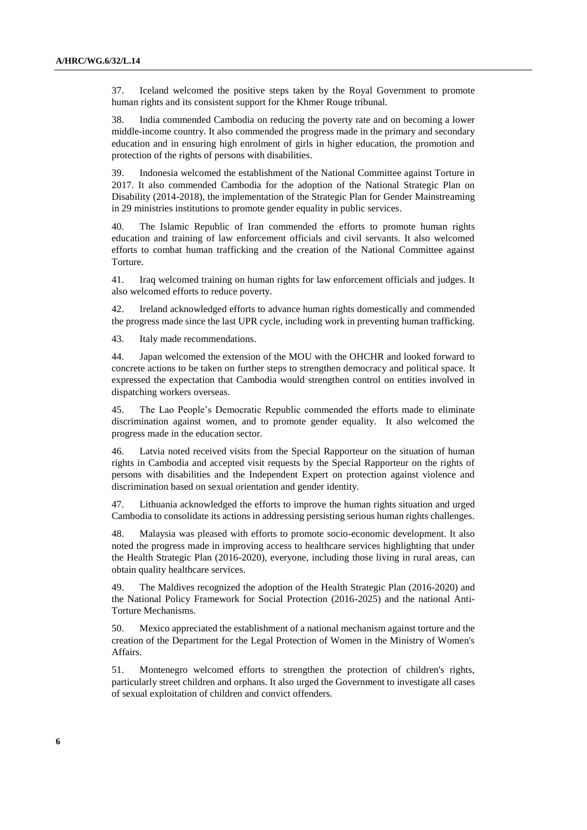37. Iceland welcomed the positive steps taken by the Royal Government to promote human rights and its consistent support for the Khmer Rouge tribunal.

38. India commended Cambodia on reducing the poverty rate and on becoming a lower middle-income country. It also commended the progress made in the primary and secondary education and in ensuring high enrolment of girls in higher education, the promotion and protection of the rights of persons with disabilities.

39. Indonesia welcomed the establishment of the National Committee against Torture in 2017. It also commended Cambodia for the adoption of the National Strategic Plan on Disability (2014-2018), the implementation of the Strategic Plan for Gender Mainstreaming in 29 ministries institutions to promote gender equality in public services.

40. The Islamic Republic of Iran commended the efforts to promote human rights education and training of law enforcement officials and civil servants. It also welcomed efforts to combat human trafficking and the creation of the National Committee against Torture.

41. Iraq welcomed training on human rights for law enforcement officials and judges. It also welcomed efforts to reduce poverty.

42. Ireland acknowledged efforts to advance human rights domestically and commended the progress made since the last UPR cycle, including work in preventing human trafficking.

43. Italy made recommendations.

44. Japan welcomed the extension of the MOU with the OHCHR and looked forward to concrete actions to be taken on further steps to strengthen democracy and political space. It expressed the expectation that Cambodia would strengthen control on entities involved in dispatching workers overseas.

45. The Lao People's Democratic Republic commended the efforts made to eliminate discrimination against women, and to promote gender equality. It also welcomed the progress made in the education sector.

46. Latvia noted received visits from the Special Rapporteur on the situation of human rights in Cambodia and accepted visit requests by the Special Rapporteur on the rights of persons with disabilities and the Independent Expert on protection against violence and discrimination based on sexual orientation and gender identity.

47. Lithuania acknowledged the efforts to improve the human rights situation and urged Cambodia to consolidate its actions in addressing persisting serious human rights challenges.

48. Malaysia was pleased with efforts to promote socio-economic development. It also noted the progress made in improving access to healthcare services highlighting that under the Health Strategic Plan (2016-2020), everyone, including those living in rural areas, can obtain quality healthcare services.

49. The Maldives recognized the adoption of the Health Strategic Plan (2016-2020) and the National Policy Framework for Social Protection (2016-2025) and the national Anti-Torture Mechanisms.

50. Mexico appreciated the establishment of a national mechanism against torture and the creation of the Department for the Legal Protection of Women in the Ministry of Women's Affairs.

51. Montenegro welcomed efforts to strengthen the protection of children's rights, particularly street children and orphans. It also urged the Government to investigate all cases of sexual exploitation of children and convict offenders.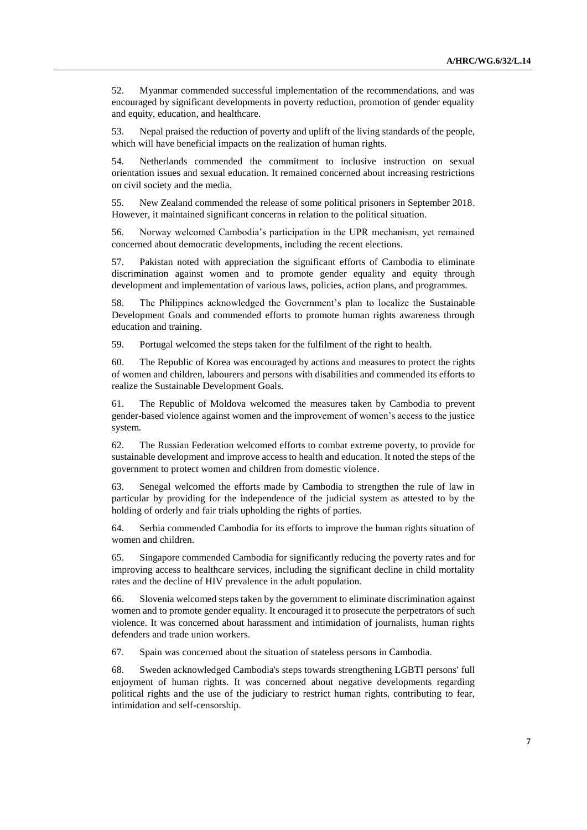52. Myanmar commended successful implementation of the recommendations, and was encouraged by significant developments in poverty reduction, promotion of gender equality and equity, education, and healthcare.

53. Nepal praised the reduction of poverty and uplift of the living standards of the people, which will have beneficial impacts on the realization of human rights.

54. Netherlands commended the commitment to inclusive instruction on sexual orientation issues and sexual education. It remained concerned about increasing restrictions on civil society and the media.

55. New Zealand commended the release of some political prisoners in September 2018. However, it maintained significant concerns in relation to the political situation.

56. Norway welcomed Cambodia's participation in the UPR mechanism, yet remained concerned about democratic developments, including the recent elections.

57. Pakistan noted with appreciation the significant efforts of Cambodia to eliminate discrimination against women and to promote gender equality and equity through development and implementation of various laws, policies, action plans, and programmes.

58. The Philippines acknowledged the Government's plan to localize the Sustainable Development Goals and commended efforts to promote human rights awareness through education and training.

59. Portugal welcomed the steps taken for the fulfilment of the right to health.

60. The Republic of Korea was encouraged by actions and measures to protect the rights of women and children, labourers and persons with disabilities and commended its efforts to realize the Sustainable Development Goals.

61. The Republic of Moldova welcomed the measures taken by Cambodia to prevent gender-based violence against women and the improvement of women's access to the justice system.

62. The Russian Federation welcomed efforts to combat extreme poverty, to provide for sustainable development and improve access to health and education. It noted the steps of the government to protect women and children from domestic violence.

63. Senegal welcomed the efforts made by Cambodia to strengthen the rule of law in particular by providing for the independence of the judicial system as attested to by the holding of orderly and fair trials upholding the rights of parties.

64. Serbia commended Cambodia for its efforts to improve the human rights situation of women and children.

65. Singapore commended Cambodia for significantly reducing the poverty rates and for improving access to healthcare services, including the significant decline in child mortality rates and the decline of HIV prevalence in the adult population.

66. Slovenia welcomed steps taken by the government to eliminate discrimination against women and to promote gender equality. It encouraged it to prosecute the perpetrators of such violence. It was concerned about harassment and intimidation of journalists, human rights defenders and trade union workers.

67. Spain was concerned about the situation of stateless persons in Cambodia.

68. Sweden acknowledged Cambodia's steps towards strengthening LGBTI persons' full enjoyment of human rights. It was concerned about negative developments regarding political rights and the use of the judiciary to restrict human rights, contributing to fear, intimidation and self-censorship.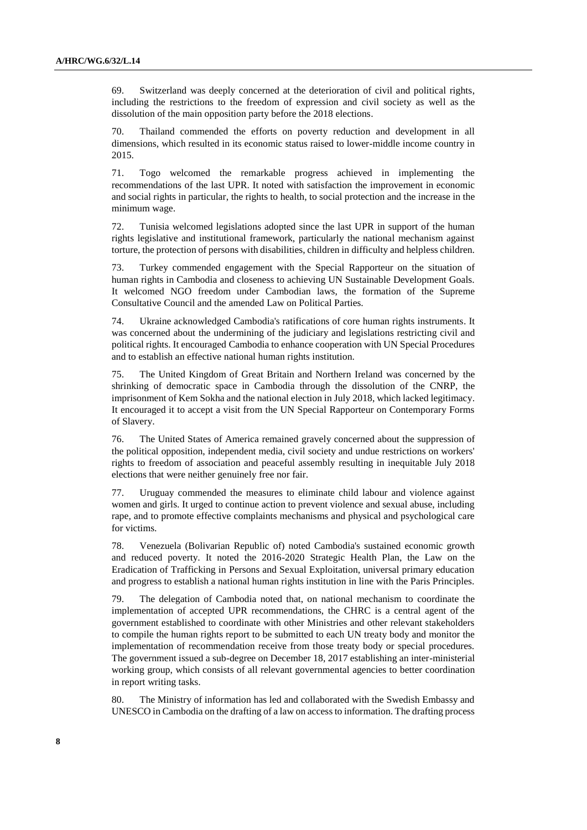69. Switzerland was deeply concerned at the deterioration of civil and political rights, including the restrictions to the freedom of expression and civil society as well as the dissolution of the main opposition party before the 2018 elections.

70. Thailand commended the efforts on poverty reduction and development in all dimensions, which resulted in its economic status raised to lower-middle income country in 2015.

71. Togo welcomed the remarkable progress achieved in implementing the recommendations of the last UPR. It noted with satisfaction the improvement in economic and social rights in particular, the rights to health, to social protection and the increase in the minimum wage.

72. Tunisia welcomed legislations adopted since the last UPR in support of the human rights legislative and institutional framework, particularly the national mechanism against torture, the protection of persons with disabilities, children in difficulty and helpless children.

73. Turkey commended engagement with the Special Rapporteur on the situation of human rights in Cambodia and closeness to achieving UN Sustainable Development Goals. It welcomed NGO freedom under Cambodian laws, the formation of the Supreme Consultative Council and the amended Law on Political Parties.

74. Ukraine acknowledged Cambodia's ratifications of core human rights instruments. It was concerned about the undermining of the judiciary and legislations restricting civil and political rights. It encouraged Cambodia to enhance cooperation with UN Special Procedures and to establish an effective national human rights institution.

75. The United Kingdom of Great Britain and Northern Ireland was concerned by the shrinking of democratic space in Cambodia through the dissolution of the CNRP, the imprisonment of Kem Sokha and the national election in July 2018, which lacked legitimacy. It encouraged it to accept a visit from the UN Special Rapporteur on Contemporary Forms of Slavery.

76. The United States of America remained gravely concerned about the suppression of the political opposition, independent media, civil society and undue restrictions on workers' rights to freedom of association and peaceful assembly resulting in inequitable July 2018 elections that were neither genuinely free nor fair.

77. Uruguay commended the measures to eliminate child labour and violence against women and girls. It urged to continue action to prevent violence and sexual abuse, including rape, and to promote effective complaints mechanisms and physical and psychological care for victims.

78. Venezuela (Bolivarian Republic of) noted Cambodia's sustained economic growth and reduced poverty. It noted the 2016-2020 Strategic Health Plan, the Law on the Eradication of Trafficking in Persons and Sexual Exploitation, universal primary education and progress to establish a national human rights institution in line with the Paris Principles.

79. The delegation of Cambodia noted that, on national mechanism to coordinate the implementation of accepted UPR recommendations, the CHRC is a central agent of the government established to coordinate with other Ministries and other relevant stakeholders to compile the human rights report to be submitted to each UN treaty body and monitor the implementation of recommendation receive from those treaty body or special procedures. The government issued a sub-degree on December 18, 2017 establishing an inter-ministerial working group, which consists of all relevant governmental agencies to better coordination in report writing tasks.

80. The Ministry of information has led and collaborated with the Swedish Embassy and UNESCO in Cambodia on the drafting of a law on access to information. The drafting process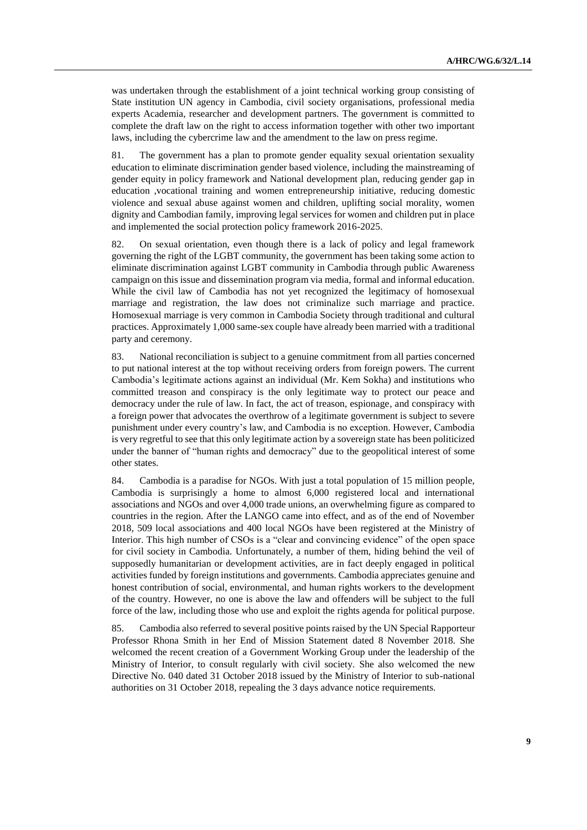was undertaken through the establishment of a joint technical working group consisting of State institution UN agency in Cambodia, civil society organisations, professional media experts Academia, researcher and development partners. The government is committed to complete the draft law on the right to access information together with other two important laws, including the cybercrime law and the amendment to the law on press regime.

81. The government has a plan to promote gender equality sexual orientation sexuality education to eliminate discrimination gender based violence, including the mainstreaming of gender equity in policy framework and National development plan, reducing gender gap in education ,vocational training and women entrepreneurship initiative, reducing domestic violence and sexual abuse against women and children, uplifting social morality, women dignity and Cambodian family, improving legal services for women and children put in place and implemented the social protection policy framework 2016-2025.

82. On sexual orientation, even though there is a lack of policy and legal framework governing the right of the LGBT community, the government has been taking some action to eliminate discrimination against LGBT community in Cambodia through public Awareness campaign on this issue and dissemination program via media, formal and informal education. While the civil law of Cambodia has not yet recognized the legitimacy of homosexual marriage and registration, the law does not criminalize such marriage and practice. Homosexual marriage is very common in Cambodia Society through traditional and cultural practices. Approximately 1,000 same-sex couple have already been married with a traditional party and ceremony.

83. National reconciliation is subject to a genuine commitment from all parties concerned to put national interest at the top without receiving orders from foreign powers. The current Cambodia's legitimate actions against an individual (Mr. Kem Sokha) and institutions who committed treason and conspiracy is the only legitimate way to protect our peace and democracy under the rule of law. In fact, the act of treason, espionage, and conspiracy with a foreign power that advocates the overthrow of a legitimate government is subject to severe punishment under every country's law, and Cambodia is no exception. However, Cambodia is very regretful to see that this only legitimate action by a sovereign state has been politicized under the banner of "human rights and democracy" due to the geopolitical interest of some other states.

84. Cambodia is a paradise for NGOs. With just a total population of 15 million people, Cambodia is surprisingly a home to almost 6,000 registered local and international associations and NGOs and over 4,000 trade unions, an overwhelming figure as compared to countries in the region. After the LANGO came into effect, and as of the end of November 2018, 509 local associations and 400 local NGOs have been registered at the Ministry of Interior. This high number of CSOs is a "clear and convincing evidence" of the open space for civil society in Cambodia. Unfortunately, a number of them, hiding behind the veil of supposedly humanitarian or development activities, are in fact deeply engaged in political activities funded by foreign institutions and governments. Cambodia appreciates genuine and honest contribution of social, environmental, and human rights workers to the development of the country. However, no one is above the law and offenders will be subject to the full force of the law, including those who use and exploit the rights agenda for political purpose.

85. Cambodia also referred to several positive points raised by the UN Special Rapporteur Professor Rhona Smith in her End of Mission Statement dated 8 November 2018. She welcomed the recent creation of a Government Working Group under the leadership of the Ministry of Interior, to consult regularly with civil society. She also welcomed the new Directive No. 040 dated 31 October 2018 issued by the Ministry of Interior to sub-national authorities on 31 October 2018, repealing the 3 days advance notice requirements.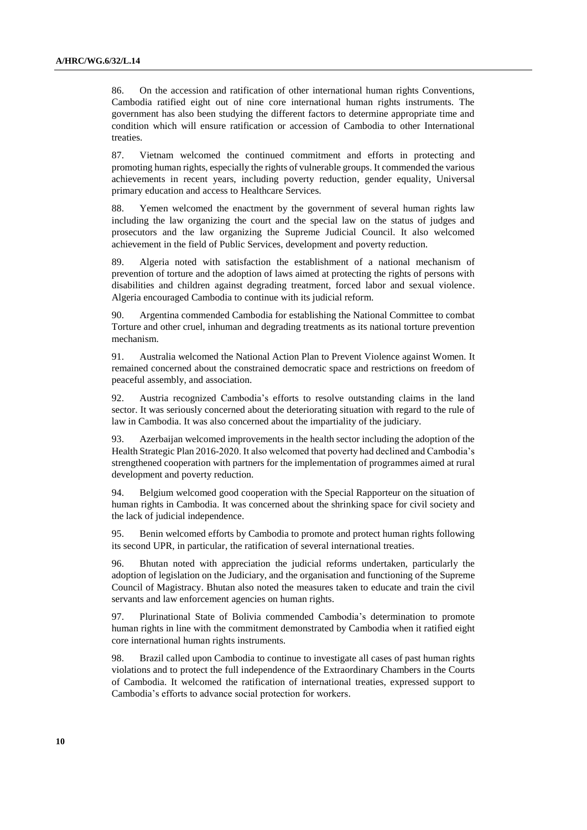86. On the accession and ratification of other international human rights Conventions, Cambodia ratified eight out of nine core international human rights instruments. The government has also been studying the different factors to determine appropriate time and condition which will ensure ratification or accession of Cambodia to other International treaties.

87. Vietnam welcomed the continued commitment and efforts in protecting and promoting human rights, especially the rights of vulnerable groups. It commended the various achievements in recent years, including poverty reduction, gender equality, Universal primary education and access to Healthcare Services.

88. Yemen welcomed the enactment by the government of several human rights law including the law organizing the court and the special law on the status of judges and prosecutors and the law organizing the Supreme Judicial Council. It also welcomed achievement in the field of Public Services, development and poverty reduction.

89. Algeria noted with satisfaction the establishment of a national mechanism of prevention of torture and the adoption of laws aimed at protecting the rights of persons with disabilities and children against degrading treatment, forced labor and sexual violence. Algeria encouraged Cambodia to continue with its judicial reform.

90. Argentina commended Cambodia for establishing the National Committee to combat Torture and other cruel, inhuman and degrading treatments as its national torture prevention mechanism.

91. Australia welcomed the National Action Plan to Prevent Violence against Women. It remained concerned about the constrained democratic space and restrictions on freedom of peaceful assembly, and association.

92. Austria recognized Cambodia's efforts to resolve outstanding claims in the land sector. It was seriously concerned about the deteriorating situation with regard to the rule of law in Cambodia. It was also concerned about the impartiality of the judiciary.

93. Azerbaijan welcomed improvements in the health sector including the adoption of the Health Strategic Plan 2016-2020. It also welcomed that poverty had declined and Cambodia's strengthened cooperation with partners for the implementation of programmes aimed at rural development and poverty reduction.

94. Belgium welcomed good cooperation with the Special Rapporteur on the situation of human rights in Cambodia. It was concerned about the shrinking space for civil society and the lack of judicial independence.

95. Benin welcomed efforts by Cambodia to promote and protect human rights following its second UPR, in particular, the ratification of several international treaties.

96. Bhutan noted with appreciation the judicial reforms undertaken, particularly the adoption of legislation on the Judiciary, and the organisation and functioning of the Supreme Council of Magistracy. Bhutan also noted the measures taken to educate and train the civil servants and law enforcement agencies on human rights.

97. Plurinational State of Bolivia commended Cambodia's determination to promote human rights in line with the commitment demonstrated by Cambodia when it ratified eight core international human rights instruments.

98. Brazil called upon Cambodia to continue to investigate all cases of past human rights violations and to protect the full independence of the Extraordinary Chambers in the Courts of Cambodia. It welcomed the ratification of international treaties, expressed support to Cambodia's efforts to advance social protection for workers.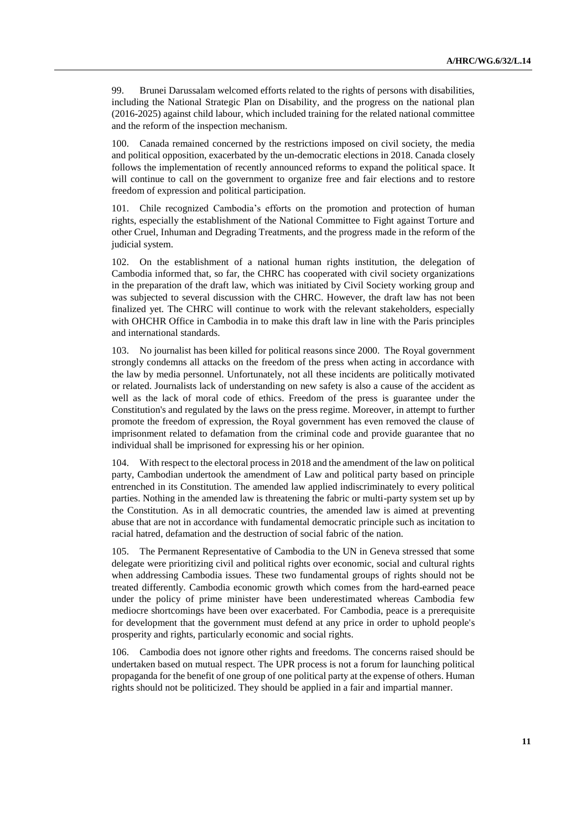99. Brunei Darussalam welcomed efforts related to the rights of persons with disabilities, including the National Strategic Plan on Disability, and the progress on the national plan (2016-2025) against child labour, which included training for the related national committee and the reform of the inspection mechanism.

100. Canada remained concerned by the restrictions imposed on civil society, the media and political opposition, exacerbated by the un-democratic elections in 2018. Canada closely follows the implementation of recently announced reforms to expand the political space. It will continue to call on the government to organize free and fair elections and to restore freedom of expression and political participation.

101. Chile recognized Cambodia's efforts on the promotion and protection of human rights, especially the establishment of the National Committee to Fight against Torture and other Cruel, Inhuman and Degrading Treatments, and the progress made in the reform of the judicial system.

102. On the establishment of a national human rights institution, the delegation of Cambodia informed that, so far, the CHRC has cooperated with civil society organizations in the preparation of the draft law, which was initiated by Civil Society working group and was subjected to several discussion with the CHRC. However, the draft law has not been finalized yet. The CHRC will continue to work with the relevant stakeholders, especially with OHCHR Office in Cambodia in to make this draft law in line with the Paris principles and international standards.

103. No journalist has been killed for political reasons since 2000. The Royal government strongly condemns all attacks on the freedom of the press when acting in accordance with the law by media personnel. Unfortunately, not all these incidents are politically motivated or related. Journalists lack of understanding on new safety is also a cause of the accident as well as the lack of moral code of ethics. Freedom of the press is guarantee under the Constitution's and regulated by the laws on the press regime. Moreover, in attempt to further promote the freedom of expression, the Royal government has even removed the clause of imprisonment related to defamation from the criminal code and provide guarantee that no individual shall be imprisoned for expressing his or her opinion.

104. With respect to the electoral process in 2018 and the amendment of the law on political party, Cambodian undertook the amendment of Law and political party based on principle entrenched in its Constitution. The amended law applied indiscriminately to every political parties. Nothing in the amended law is threatening the fabric or multi-party system set up by the Constitution. As in all democratic countries, the amended law is aimed at preventing abuse that are not in accordance with fundamental democratic principle such as incitation to racial hatred, defamation and the destruction of social fabric of the nation.

105. The Permanent Representative of Cambodia to the UN in Geneva stressed that some delegate were prioritizing civil and political rights over economic, social and cultural rights when addressing Cambodia issues. These two fundamental groups of rights should not be treated differently. Cambodia economic growth which comes from the hard-earned peace under the policy of prime minister have been underestimated whereas Cambodia few mediocre shortcomings have been over exacerbated. For Cambodia, peace is a prerequisite for development that the government must defend at any price in order to uphold people's prosperity and rights, particularly economic and social rights.

106. Cambodia does not ignore other rights and freedoms. The concerns raised should be undertaken based on mutual respect. The UPR process is not a forum for launching political propaganda for the benefit of one group of one political party at the expense of others. Human rights should not be politicized. They should be applied in a fair and impartial manner.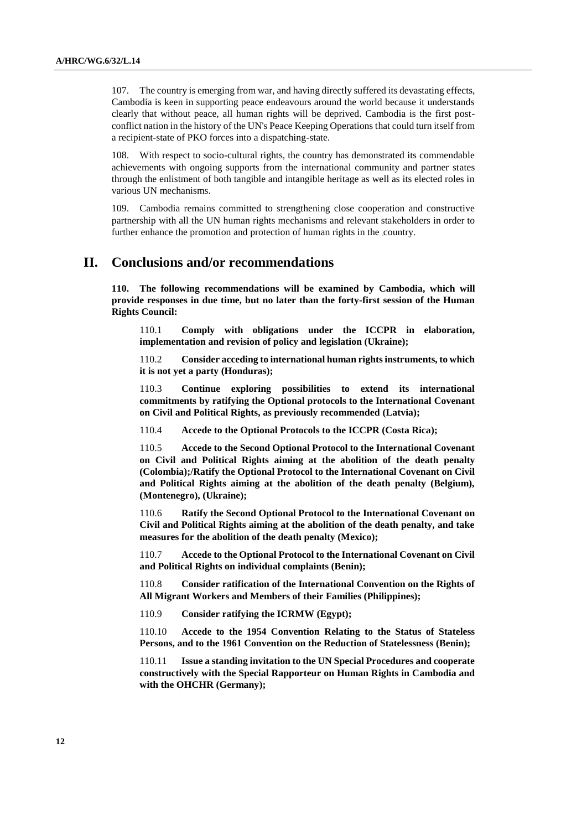107. The country is emerging from war, and having directly suffered its devastating effects, Cambodia is keen in supporting peace endeavours around the world because it understands clearly that without peace, all human rights will be deprived. Cambodia is the first postconflict nation in the history of the UN's Peace Keeping Operations that could turn itself from a recipient-state of PKO forces into a dispatching-state.

108. With respect to socio-cultural rights, the country has demonstrated its commendable achievements with ongoing supports from the international community and partner states through the enlistment of both tangible and intangible heritage as well as its elected roles in various UN mechanisms.

109. Cambodia remains committed to strengthening close cooperation and constructive partnership with all the UN human rights mechanisms and relevant stakeholders in order to further enhance the promotion and protection of human rights in the country.

## **II. Conclusions and/or recommendations**

**110. The following recommendations will be examined by Cambodia, which will provide responses in due time, but no later than the forty-first session of the Human Rights Council:**

110.1 **Comply with obligations under the ICCPR in elaboration, implementation and revision of policy and legislation (Ukraine);**

110.2 **Consider acceding to international human rights instruments, to which it is not yet a party (Honduras);**

110.3 **Continue exploring possibilities to extend its international commitments by ratifying the Optional protocols to the International Covenant on Civil and Political Rights, as previously recommended (Latvia);**

110.4 **Accede to the Optional Protocols to the ICCPR (Costa Rica);**

110.5 **Accede to the Second Optional Protocol to the International Covenant on Civil and Political Rights aiming at the abolition of the death penalty (Colombia);/Ratify the Optional Protocol to the International Covenant on Civil and Political Rights aiming at the abolition of the death penalty (Belgium), (Montenegro), (Ukraine);**

110.6 **Ratify the Second Optional Protocol to the International Covenant on Civil and Political Rights aiming at the abolition of the death penalty, and take measures for the abolition of the death penalty (Mexico);**

110.7 **Accede to the Optional Protocol to the International Covenant on Civil and Political Rights on individual complaints (Benin);**

110.8 **Consider ratification of the International Convention on the Rights of All Migrant Workers and Members of their Families (Philippines);**

110.9 **Consider ratifying the ICRMW (Egypt);**

110.10 **Accede to the 1954 Convention Relating to the Status of Stateless Persons, and to the 1961 Convention on the Reduction of Statelessness (Benin);**

110.11 **Issue a standing invitation to the UN Special Procedures and cooperate constructively with the Special Rapporteur on Human Rights in Cambodia and with the OHCHR (Germany);**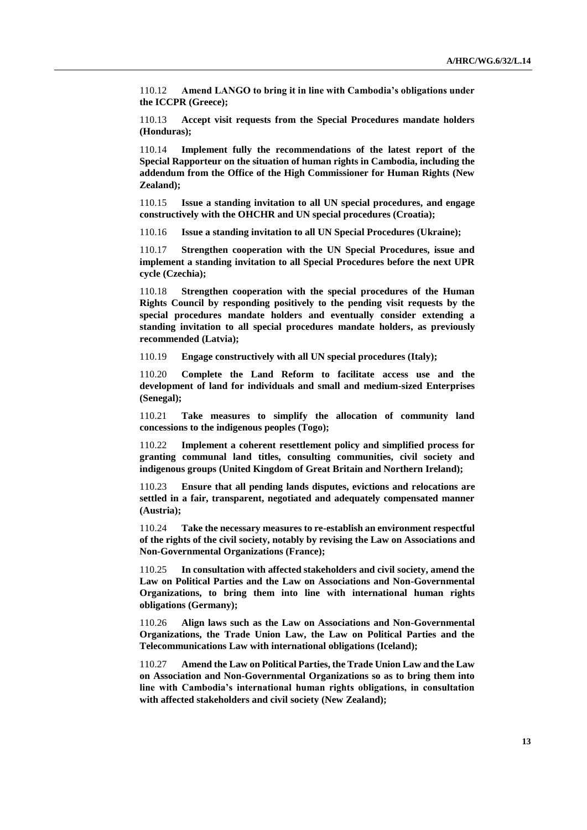110.12 **Amend LANGO to bring it in line with Cambodia's obligations under the ICCPR (Greece);**

110.13 **Accept visit requests from the Special Procedures mandate holders (Honduras);**

110.14 **Implement fully the recommendations of the latest report of the Special Rapporteur on the situation of human rights in Cambodia, including the addendum from the Office of the High Commissioner for Human Rights (New Zealand);**

110.15 **Issue a standing invitation to all UN special procedures, and engage constructively with the OHCHR and UN special procedures (Croatia);**

110.16 **Issue a standing invitation to all UN Special Procedures (Ukraine);**

110.17 **Strengthen cooperation with the UN Special Procedures, issue and implement a standing invitation to all Special Procedures before the next UPR cycle (Czechia);**

110.18 **Strengthen cooperation with the special procedures of the Human Rights Council by responding positively to the pending visit requests by the special procedures mandate holders and eventually consider extending a standing invitation to all special procedures mandate holders, as previously recommended (Latvia);**

110.19 **Engage constructively with all UN special procedures (Italy);**

110.20 **Complete the Land Reform to facilitate access use and the development of land for individuals and small and medium-sized Enterprises (Senegal);**

110.21 **Take measures to simplify the allocation of community land concessions to the indigenous peoples (Togo);**

110.22 **Implement a coherent resettlement policy and simplified process for granting communal land titles, consulting communities, civil society and indigenous groups (United Kingdom of Great Britain and Northern Ireland);**

110.23 **Ensure that all pending lands disputes, evictions and relocations are settled in a fair, transparent, negotiated and adequately compensated manner (Austria);**

110.24 **Take the necessary measures to re-establish an environment respectful of the rights of the civil society, notably by revising the Law on Associations and Non-Governmental Organizations (France);**

110.25 **In consultation with affected stakeholders and civil society, amend the Law on Political Parties and the Law on Associations and Non-Governmental Organizations, to bring them into line with international human rights obligations (Germany);**

110.26 **Align laws such as the Law on Associations and Non-Governmental Organizations, the Trade Union Law, the Law on Political Parties and the Telecommunications Law with international obligations (Iceland);**

110.27 **Amend the Law on Political Parties, the Trade Union Law and the Law on Association and Non-Governmental Organizations so as to bring them into line with Cambodia's international human rights obligations, in consultation with affected stakeholders and civil society (New Zealand);**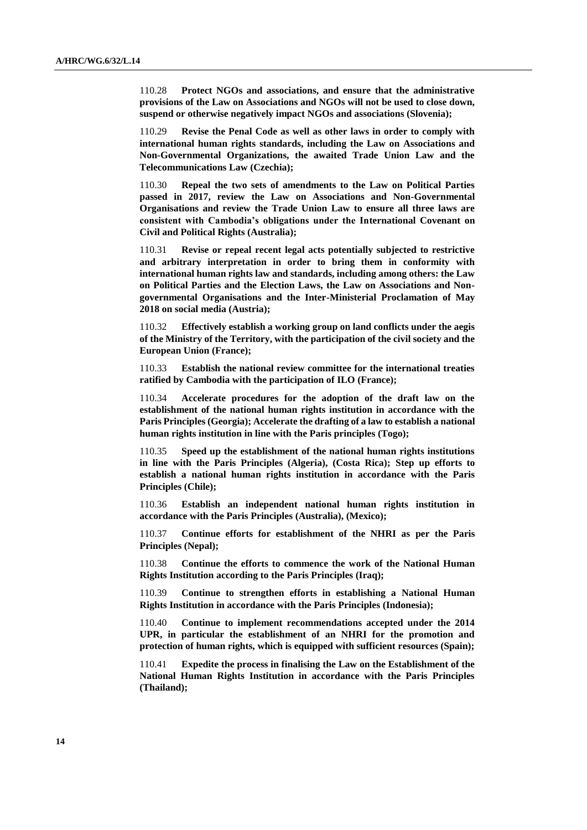110.28 **Protect NGOs and associations, and ensure that the administrative provisions of the Law on Associations and NGOs will not be used to close down, suspend or otherwise negatively impact NGOs and associations (Slovenia);**

110.29 **Revise the Penal Code as well as other laws in order to comply with international human rights standards, including the Law on Associations and Non-Governmental Organizations, the awaited Trade Union Law and the Telecommunications Law (Czechia);**

110.30 **Repeal the two sets of amendments to the Law on Political Parties passed in 2017, review the Law on Associations and Non-Governmental Organisations and review the Trade Union Law to ensure all three laws are consistent with Cambodia's obligations under the International Covenant on Civil and Political Rights (Australia);**

110.31 **Revise or repeal recent legal acts potentially subjected to restrictive and arbitrary interpretation in order to bring them in conformity with international human rights law and standards, including among others: the Law on Political Parties and the Election Laws, the Law on Associations and Nongovernmental Organisations and the Inter-Ministerial Proclamation of May 2018 on social media (Austria);**

110.32 **Effectively establish a working group on land conflicts under the aegis of the Ministry of the Territory, with the participation of the civil society and the European Union (France);**

110.33 **Establish the national review committee for the international treaties ratified by Cambodia with the participation of ILO (France);**

110.34 **Accelerate procedures for the adoption of the draft law on the establishment of the national human rights institution in accordance with the Paris Principles (Georgia); Accelerate the drafting of a law to establish a national human rights institution in line with the Paris principles (Togo);**

110.35 **Speed up the establishment of the national human rights institutions in line with the Paris Principles (Algeria), (Costa Rica); Step up efforts to establish a national human rights institution in accordance with the Paris Principles (Chile);**

110.36 **Establish an independent national human rights institution in accordance with the Paris Principles (Australia), (Mexico);**

110.37 **Continue efforts for establishment of the NHRI as per the Paris Principles (Nepal);**

110.38 **Continue the efforts to commence the work of the National Human Rights Institution according to the Paris Principles (Iraq);**

110.39 **Continue to strengthen efforts in establishing a National Human Rights Institution in accordance with the Paris Principles (Indonesia);**

110.40 **Continue to implement recommendations accepted under the 2014 UPR, in particular the establishment of an NHRI for the promotion and protection of human rights, which is equipped with sufficient resources (Spain);**

110.41 **Expedite the process in finalising the Law on the Establishment of the National Human Rights Institution in accordance with the Paris Principles (Thailand);**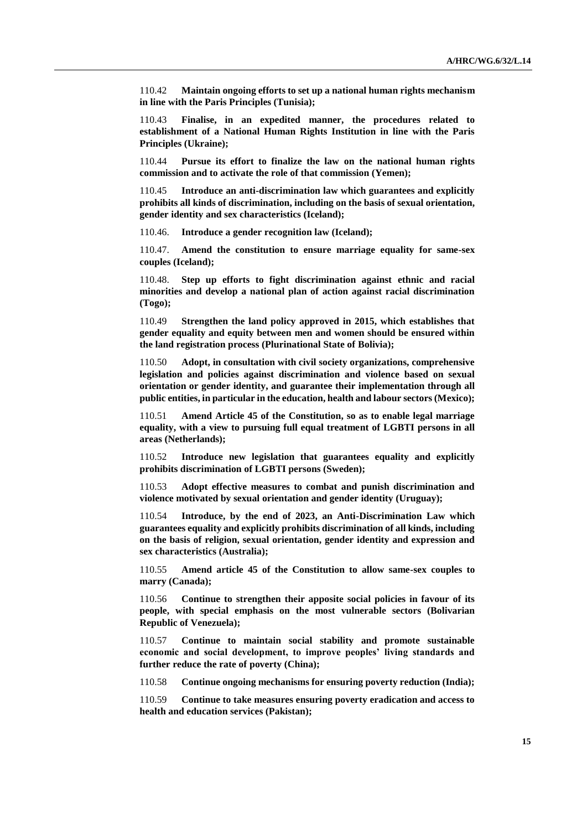110.42 **Maintain ongoing efforts to set up a national human rights mechanism in line with the Paris Principles (Tunisia);**

110.43 **Finalise, in an expedited manner, the procedures related to establishment of a National Human Rights Institution in line with the Paris Principles (Ukraine);**

110.44 **Pursue its effort to finalize the law on the national human rights commission and to activate the role of that commission (Yemen);**

110.45 **Introduce an anti-discrimination law which guarantees and explicitly prohibits all kinds of discrimination, including on the basis of sexual orientation, gender identity and sex characteristics (Iceland);**

110.46. **Introduce a gender recognition law (Iceland);**

110.47. **Amend the constitution to ensure marriage equality for same-sex couples (Iceland);**

110.48. **Step up efforts to fight discrimination against ethnic and racial minorities and develop a national plan of action against racial discrimination (Togo);**

110.49 **Strengthen the land policy approved in 2015, which establishes that gender equality and equity between men and women should be ensured within the land registration process (Plurinational State of Bolivia);**

110.50 **Adopt, in consultation with civil society organizations, comprehensive legislation and policies against discrimination and violence based on sexual orientation or gender identity, and guarantee their implementation through all public entities, in particular in the education, health and labour sectors (Mexico);**

110.51 **Amend Article 45 of the Constitution, so as to enable legal marriage equality, with a view to pursuing full equal treatment of LGBTI persons in all areas (Netherlands);**

110.52 **Introduce new legislation that guarantees equality and explicitly prohibits discrimination of LGBTI persons (Sweden);**

110.53 **Adopt effective measures to combat and punish discrimination and violence motivated by sexual orientation and gender identity (Uruguay);**

110.54 **Introduce, by the end of 2023, an Anti-Discrimination Law which guarantees equality and explicitly prohibits discrimination of all kinds, including on the basis of religion, sexual orientation, gender identity and expression and sex characteristics (Australia);**

110.55 **Amend article 45 of the Constitution to allow same-sex couples to marry (Canada);**

110.56 **Continue to strengthen their apposite social policies in favour of its people, with special emphasis on the most vulnerable sectors (Bolivarian Republic of Venezuela);**

110.57 **Continue to maintain social stability and promote sustainable economic and social development, to improve peoples' living standards and further reduce the rate of poverty (China);**

110.58 **Continue ongoing mechanisms for ensuring poverty reduction (India);**

110.59 **Continue to take measures ensuring poverty eradication and access to health and education services (Pakistan);**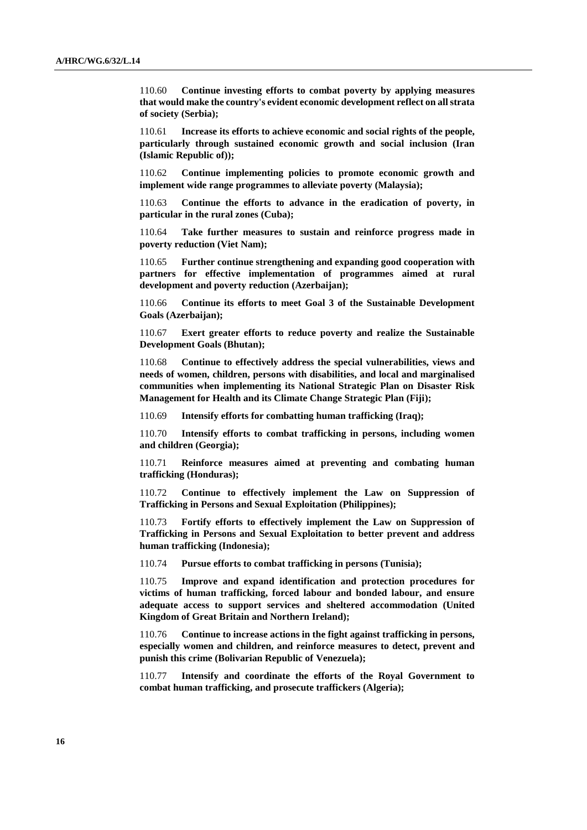110.60 **Continue investing efforts to combat poverty by applying measures that would make the country's evident economic development reflect on all strata of society (Serbia);**

110.61 **Increase its efforts to achieve economic and social rights of the people, particularly through sustained economic growth and social inclusion (Iran (Islamic Republic of));**

110.62 **Continue implementing policies to promote economic growth and implement wide range programmes to alleviate poverty (Malaysia);**

110.63 **Continue the efforts to advance in the eradication of poverty, in particular in the rural zones (Cuba);**

110.64 **Take further measures to sustain and reinforce progress made in poverty reduction (Viet Nam);**

110.65 **Further continue strengthening and expanding good cooperation with partners for effective implementation of programmes aimed at rural development and poverty reduction (Azerbaijan);**

110.66 **Continue its efforts to meet Goal 3 of the Sustainable Development Goals (Azerbaijan);**

110.67 **Exert greater efforts to reduce poverty and realize the Sustainable Development Goals (Bhutan);**

110.68 **Continue to effectively address the special vulnerabilities, views and needs of women, children, persons with disabilities, and local and marginalised communities when implementing its National Strategic Plan on Disaster Risk Management for Health and its Climate Change Strategic Plan (Fiji);**

110.69 **Intensify efforts for combatting human trafficking (Iraq);**

110.70 **Intensify efforts to combat trafficking in persons, including women and children (Georgia);**

110.71 **Reinforce measures aimed at preventing and combating human trafficking (Honduras);**

110.72 **Continue to effectively implement the Law on Suppression of Trafficking in Persons and Sexual Exploitation (Philippines);**

110.73 **Fortify efforts to effectively implement the Law on Suppression of Trafficking in Persons and Sexual Exploitation to better prevent and address human trafficking (Indonesia);**

110.74 **Pursue efforts to combat trafficking in persons (Tunisia);**

110.75 **Improve and expand identification and protection procedures for victims of human trafficking, forced labour and bonded labour, and ensure adequate access to support services and sheltered accommodation (United Kingdom of Great Britain and Northern Ireland);**

110.76 **Continue to increase actions in the fight against trafficking in persons, especially women and children, and reinforce measures to detect, prevent and punish this crime (Bolivarian Republic of Venezuela);**

110.77 **Intensify and coordinate the efforts of the Royal Government to combat human trafficking, and prosecute traffickers (Algeria);**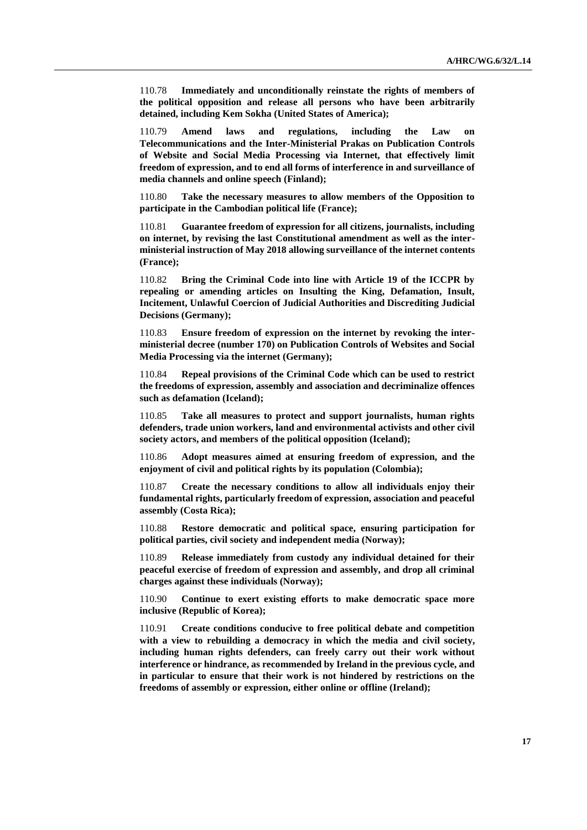110.78 **Immediately and unconditionally reinstate the rights of members of the political opposition and release all persons who have been arbitrarily detained, including Kem Sokha (United States of America);**

110.79 **Amend laws and regulations, including the Law on Telecommunications and the Inter-Ministerial Prakas on Publication Controls of Website and Social Media Processing via Internet, that effectively limit freedom of expression, and to end all forms of interference in and surveillance of media channels and online speech (Finland);**

110.80 **Take the necessary measures to allow members of the Opposition to participate in the Cambodian political life (France);**

110.81 **Guarantee freedom of expression for all citizens, journalists, including on internet, by revising the last Constitutional amendment as well as the interministerial instruction of May 2018 allowing surveillance of the internet contents (France);**

110.82 **Bring the Criminal Code into line with Article 19 of the ICCPR by repealing or amending articles on Insulting the King, Defamation, Insult, Incitement, Unlawful Coercion of Judicial Authorities and Discrediting Judicial Decisions (Germany);**

110.83 **Ensure freedom of expression on the internet by revoking the interministerial decree (number 170) on Publication Controls of Websites and Social Media Processing via the internet (Germany);**

110.84 **Repeal provisions of the Criminal Code which can be used to restrict the freedoms of expression, assembly and association and decriminalize offences such as defamation (Iceland);**

110.85 **Take all measures to protect and support journalists, human rights defenders, trade union workers, land and environmental activists and other civil society actors, and members of the political opposition (Iceland);**

110.86 **Adopt measures aimed at ensuring freedom of expression, and the enjoyment of civil and political rights by its population (Colombia);**

110.87 **Create the necessary conditions to allow all individuals enjoy their fundamental rights, particularly freedom of expression, association and peaceful assembly (Costa Rica);**

110.88 **Restore democratic and political space, ensuring participation for political parties, civil society and independent media (Norway);**

110.89 **Release immediately from custody any individual detained for their peaceful exercise of freedom of expression and assembly, and drop all criminal charges against these individuals (Norway);**

110.90 **Continue to exert existing efforts to make democratic space more inclusive (Republic of Korea);**

110.91 **Create conditions conducive to free political debate and competition with a view to rebuilding a democracy in which the media and civil society, including human rights defenders, can freely carry out their work without interference or hindrance, as recommended by Ireland in the previous cycle, and in particular to ensure that their work is not hindered by restrictions on the freedoms of assembly or expression, either online or offline (Ireland);**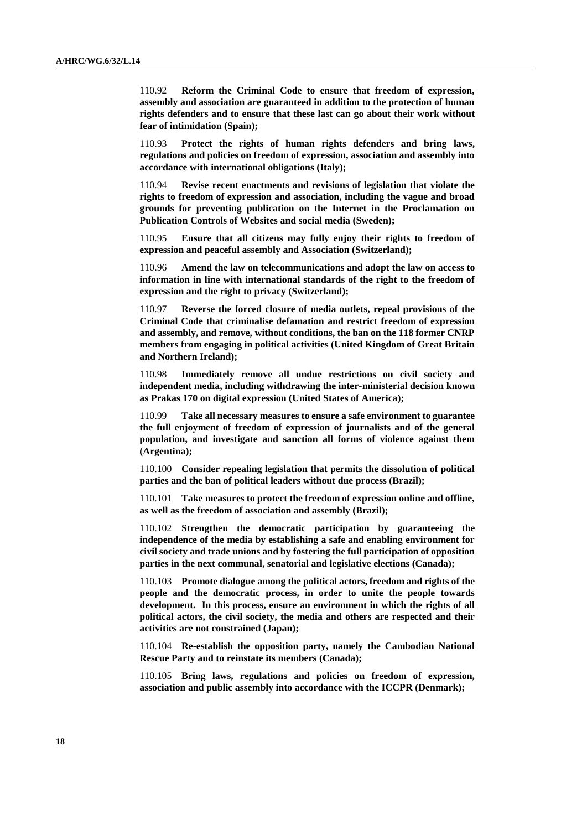110.92 **Reform the Criminal Code to ensure that freedom of expression, assembly and association are guaranteed in addition to the protection of human rights defenders and to ensure that these last can go about their work without fear of intimidation (Spain);**

110.93 **Protect the rights of human rights defenders and bring laws, regulations and policies on freedom of expression, association and assembly into accordance with international obligations (Italy);**

110.94 **Revise recent enactments and revisions of legislation that violate the rights to freedom of expression and association, including the vague and broad grounds for preventing publication on the Internet in the Proclamation on Publication Controls of Websites and social media (Sweden);**

110.95 **Ensure that all citizens may fully enjoy their rights to freedom of expression and peaceful assembly and Association (Switzerland);**

110.96 **Amend the law on telecommunications and adopt the law on access to information in line with international standards of the right to the freedom of expression and the right to privacy (Switzerland);**

110.97 **Reverse the forced closure of media outlets, repeal provisions of the Criminal Code that criminalise defamation and restrict freedom of expression and assembly, and remove, without conditions, the ban on the 118 former CNRP members from engaging in political activities (United Kingdom of Great Britain and Northern Ireland);**

110.98 **Immediately remove all undue restrictions on civil society and independent media, including withdrawing the inter-ministerial decision known as Prakas 170 on digital expression (United States of America);**

110.99 **Take all necessary measures to ensure a safe environment to guarantee the full enjoyment of freedom of expression of journalists and of the general population, and investigate and sanction all forms of violence against them (Argentina);**

110.100 **Consider repealing legislation that permits the dissolution of political parties and the ban of political leaders without due process (Brazil);**

110.101 **Take measures to protect the freedom of expression online and offline, as well as the freedom of association and assembly (Brazil);**

110.102 **Strengthen the democratic participation by guaranteeing the independence of the media by establishing a safe and enabling environment for civil society and trade unions and by fostering the full participation of opposition parties in the next communal, senatorial and legislative elections (Canada);**

110.103 **Promote dialogue among the political actors, freedom and rights of the people and the democratic process, in order to unite the people towards development. In this process, ensure an environment in which the rights of all political actors, the civil society, the media and others are respected and their activities are not constrained (Japan);**

110.104 **Re-establish the opposition party, namely the Cambodian National Rescue Party and to reinstate its members (Canada);**

110.105 **Bring laws, regulations and policies on freedom of expression, association and public assembly into accordance with the ICCPR (Denmark);**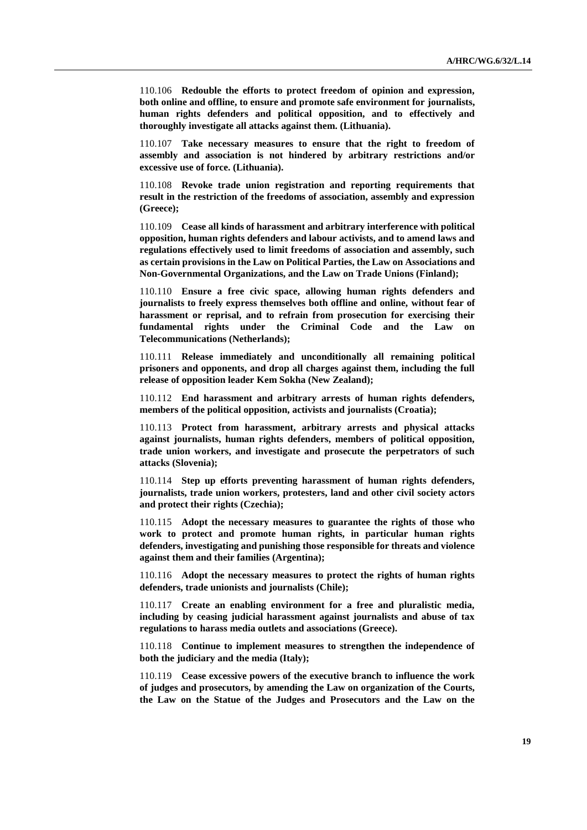110.106 **Redouble the efforts to protect freedom of opinion and expression, both online and offline, to ensure and promote safe environment for journalists, human rights defenders and political opposition, and to effectively and thoroughly investigate all attacks against them. (Lithuania).**

110.107 **Take necessary measures to ensure that the right to freedom of assembly and association is not hindered by arbitrary restrictions and/or excessive use of force. (Lithuania).**

110.108 **Revoke trade union registration and reporting requirements that result in the restriction of the freedoms of association, assembly and expression (Greece);**

110.109 **Cease all kinds of harassment and arbitrary interference with political opposition, human rights defenders and labour activists, and to amend laws and regulations effectively used to limit freedoms of association and assembly, such as certain provisions in the Law on Political Parties, the Law on Associations and Non-Governmental Organizations, and the Law on Trade Unions (Finland);**

110.110 **Ensure a free civic space, allowing human rights defenders and journalists to freely express themselves both offline and online, without fear of harassment or reprisal, and to refrain from prosecution for exercising their fundamental rights under the Criminal Code and the Law on Telecommunications (Netherlands);**

110.111 **Release immediately and unconditionally all remaining political prisoners and opponents, and drop all charges against them, including the full release of opposition leader Kem Sokha (New Zealand);**

110.112 **End harassment and arbitrary arrests of human rights defenders, members of the political opposition, activists and journalists (Croatia);**

110.113 **Protect from harassment, arbitrary arrests and physical attacks against journalists, human rights defenders, members of political opposition, trade union workers, and investigate and prosecute the perpetrators of such attacks (Slovenia);**

110.114 **Step up efforts preventing harassment of human rights defenders, journalists, trade union workers, protesters, land and other civil society actors and protect their rights (Czechia);**

110.115 **Adopt the necessary measures to guarantee the rights of those who work to protect and promote human rights, in particular human rights defenders, investigating and punishing those responsible for threats and violence against them and their families (Argentina);**

110.116 **Adopt the necessary measures to protect the rights of human rights defenders, trade unionists and journalists (Chile);**

110.117 **Create an enabling environment for a free and pluralistic media, including by ceasing judicial harassment against journalists and abuse of tax regulations to harass media outlets and associations (Greece).**

110.118 **Continue to implement measures to strengthen the independence of both the judiciary and the media (Italy);**

110.119 **Cease excessive powers of the executive branch to influence the work of judges and prosecutors, by amending the Law on organization of the Courts, the Law on the Statue of the Judges and Prosecutors and the Law on the**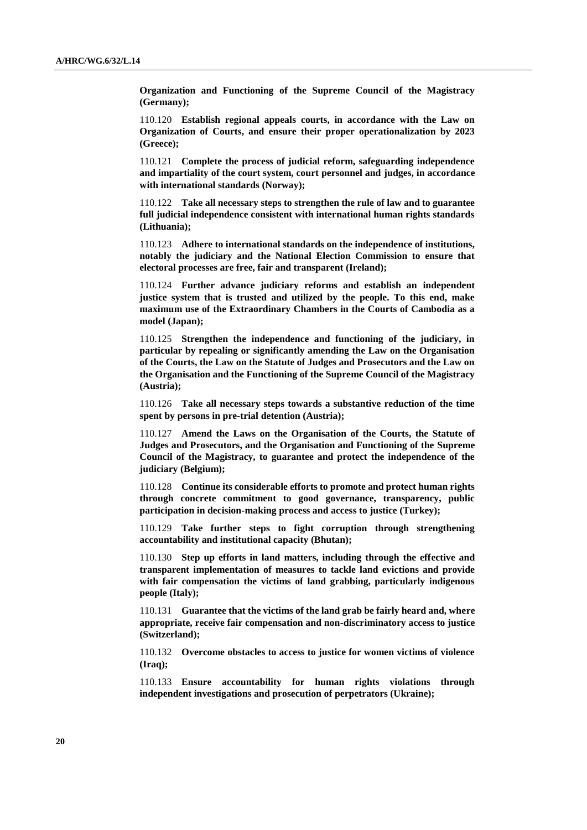**Organization and Functioning of the Supreme Council of the Magistracy (Germany);**

110.120 **Establish regional appeals courts, in accordance with the Law on Organization of Courts, and ensure their proper operationalization by 2023 (Greece);**

110.121 **Complete the process of judicial reform, safeguarding independence and impartiality of the court system, court personnel and judges, in accordance with international standards (Norway);**

110.122 **Take all necessary steps to strengthen the rule of law and to guarantee full judicial independence consistent with international human rights standards (Lithuania);**

110.123 **Adhere to international standards on the independence of institutions, notably the judiciary and the National Election Commission to ensure that electoral processes are free, fair and transparent (Ireland);**

110.124 **Further advance judiciary reforms and establish an independent justice system that is trusted and utilized by the people. To this end, make maximum use of the Extraordinary Chambers in the Courts of Cambodia as a model (Japan);**

110.125 **Strengthen the independence and functioning of the judiciary, in particular by repealing or significantly amending the Law on the Organisation of the Courts, the Law on the Statute of Judges and Prosecutors and the Law on the Organisation and the Functioning of the Supreme Council of the Magistracy (Austria);**

110.126 **Take all necessary steps towards a substantive reduction of the time spent by persons in pre-trial detention (Austria);**

110.127 **Amend the Laws on the Organisation of the Courts, the Statute of Judges and Prosecutors, and the Organisation and Functioning of the Supreme Council of the Magistracy, to guarantee and protect the independence of the judiciary (Belgium);**

110.128 **Continue its considerable efforts to promote and protect human rights through concrete commitment to good governance, transparency, public participation in decision-making process and access to justice (Turkey);**

110.129 **Take further steps to fight corruption through strengthening accountability and institutional capacity (Bhutan);**

110.130 **Step up efforts in land matters, including through the effective and transparent implementation of measures to tackle land evictions and provide with fair compensation the victims of land grabbing, particularly indigenous people (Italy);**

110.131 **Guarantee that the victims of the land grab be fairly heard and, where appropriate, receive fair compensation and non-discriminatory access to justice (Switzerland);**

110.132 **Overcome obstacles to access to justice for women victims of violence (Iraq);**

110.133 **Ensure accountability for human rights violations through independent investigations and prosecution of perpetrators (Ukraine);**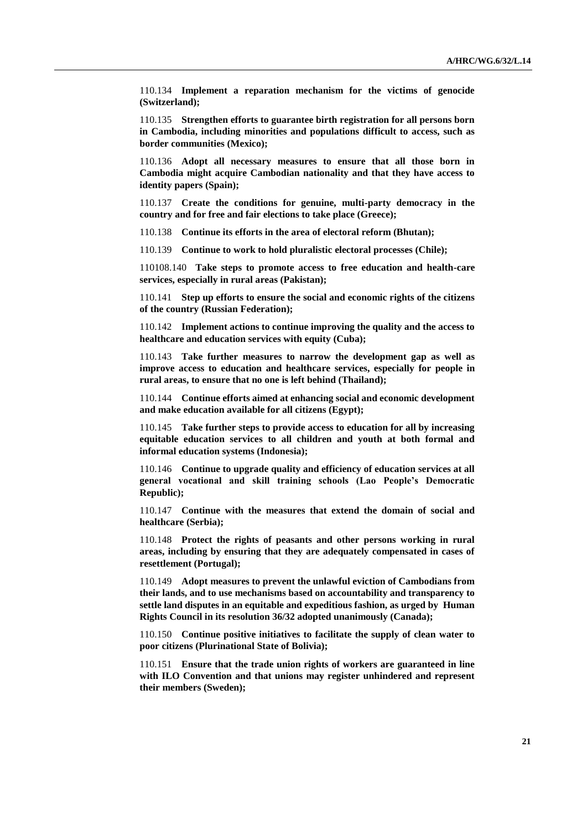110.134 **Implement a reparation mechanism for the victims of genocide (Switzerland);**

110.135 **Strengthen efforts to guarantee birth registration for all persons born in Cambodia, including minorities and populations difficult to access, such as border communities (Mexico);**

110.136 **Adopt all necessary measures to ensure that all those born in Cambodia might acquire Cambodian nationality and that they have access to identity papers (Spain);**

110.137 **Create the conditions for genuine, multi-party democracy in the country and for free and fair elections to take place (Greece);**

110.138 **Continue its efforts in the area of electoral reform (Bhutan);**

110.139 **Continue to work to hold pluralistic electoral processes (Chile);**

110108.140 **Take steps to promote access to free education and health-care services, especially in rural areas (Pakistan);**

110.141 **Step up efforts to ensure the social and economic rights of the citizens of the country (Russian Federation);**

110.142 **Implement actions to continue improving the quality and the access to healthcare and education services with equity (Cuba);**

110.143 **Take further measures to narrow the development gap as well as improve access to education and healthcare services, especially for people in rural areas, to ensure that no one is left behind (Thailand);**

110.144 **Continue efforts aimed at enhancing social and economic development and make education available for all citizens (Egypt);**

110.145 **Take further steps to provide access to education for all by increasing equitable education services to all children and youth at both formal and informal education systems (Indonesia);**

110.146 **Continue to upgrade quality and efficiency of education services at all general vocational and skill training schools (Lao People's Democratic Republic);**

110.147 **Continue with the measures that extend the domain of social and healthcare (Serbia);**

110.148 **Protect the rights of peasants and other persons working in rural areas, including by ensuring that they are adequately compensated in cases of resettlement (Portugal);**

110.149 **Adopt measures to prevent the unlawful eviction of Cambodians from their lands, and to use mechanisms based on accountability and transparency to settle land disputes in an equitable and expeditious fashion, as urged by Human Rights Council in its resolution 36/32 adopted unanimously (Canada);**

110.150 **Continue positive initiatives to facilitate the supply of clean water to poor citizens (Plurinational State of Bolivia);**

110.151 **Ensure that the trade union rights of workers are guaranteed in line with ILO Convention and that unions may register unhindered and represent their members (Sweden);**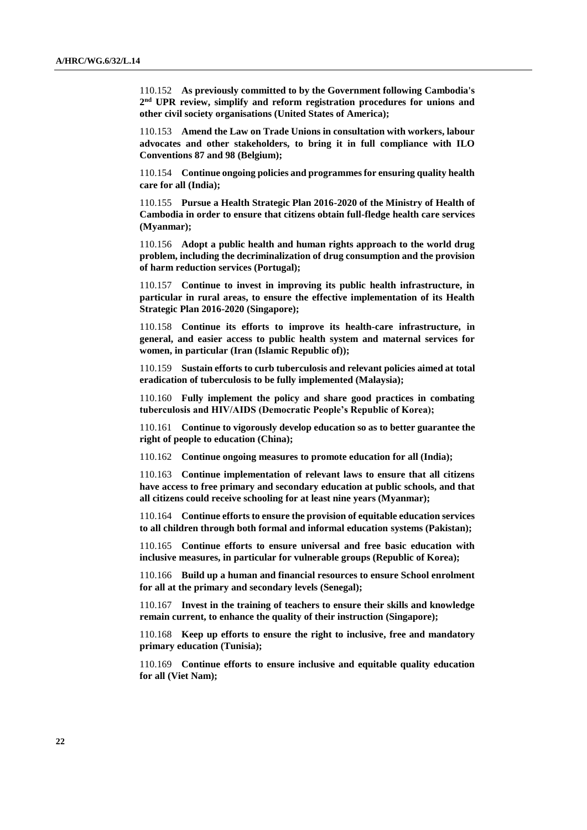110.152 **As previously committed to by the Government following Cambodia's 2 nd UPR review, simplify and reform registration procedures for unions and other civil society organisations (United States of America);**

110.153 **Amend the Law on Trade Unions in consultation with workers, labour advocates and other stakeholders, to bring it in full compliance with ILO Conventions 87 and 98 (Belgium);**

110.154 **Continue ongoing policies and programmes for ensuring quality health care for all (India);**

110.155 **Pursue a Health Strategic Plan 2016-2020 of the Ministry of Health of Cambodia in order to ensure that citizens obtain full-fledge health care services (Myanmar);**

110.156 **Adopt a public health and human rights approach to the world drug problem, including the decriminalization of drug consumption and the provision of harm reduction services (Portugal);**

110.157 **Continue to invest in improving its public health infrastructure, in particular in rural areas, to ensure the effective implementation of its Health Strategic Plan 2016-2020 (Singapore);**

110.158 **Continue its efforts to improve its health-care infrastructure, in general, and easier access to public health system and maternal services for women, in particular (Iran (Islamic Republic of));**

110.159 **Sustain efforts to curb tuberculosis and relevant policies aimed at total eradication of tuberculosis to be fully implemented (Malaysia);**

110.160 **Fully implement the policy and share good practices in combating tuberculosis and HIV/AIDS (Democratic People's Republic of Korea);**

110.161 **Continue to vigorously develop education so as to better guarantee the right of people to education (China);**

110.162 **Continue ongoing measures to promote education for all (India);**

110.163 **Continue implementation of relevant laws to ensure that all citizens have access to free primary and secondary education at public schools, and that all citizens could receive schooling for at least nine years (Myanmar);**

110.164 **Continue efforts to ensure the provision of equitable education services to all children through both formal and informal education systems (Pakistan);**

110.165 **Continue efforts to ensure universal and free basic education with inclusive measures, in particular for vulnerable groups (Republic of Korea);**

110.166 **Build up a human and financial resources to ensure School enrolment for all at the primary and secondary levels (Senegal);**

110.167 **Invest in the training of teachers to ensure their skills and knowledge remain current, to enhance the quality of their instruction (Singapore);**

110.168 **Keep up efforts to ensure the right to inclusive, free and mandatory primary education (Tunisia);**

110.169 **Continue efforts to ensure inclusive and equitable quality education for all (Viet Nam);**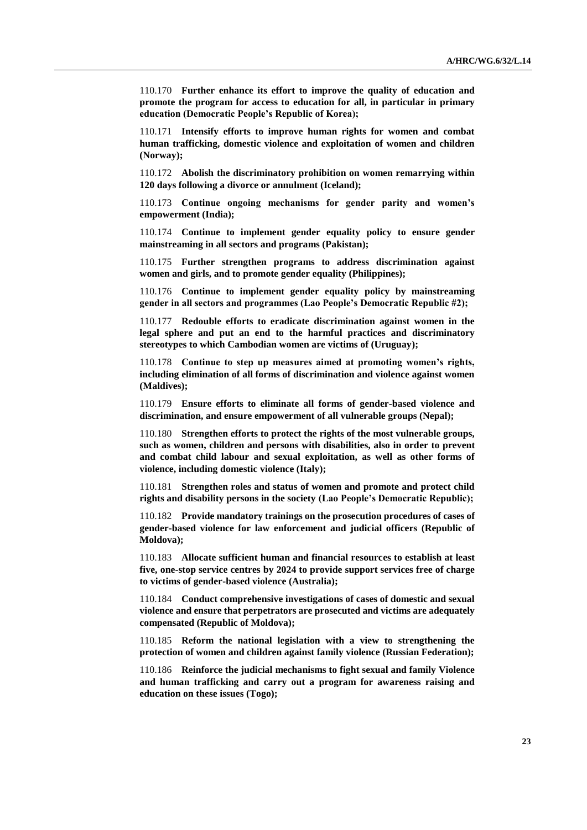110.170 **Further enhance its effort to improve the quality of education and promote the program for access to education for all, in particular in primary education (Democratic People's Republic of Korea);**

110.171 **Intensify efforts to improve human rights for women and combat human trafficking, domestic violence and exploitation of women and children (Norway);**

110.172 **Abolish the discriminatory prohibition on women remarrying within 120 days following a divorce or annulment (Iceland);**

110.173 **Continue ongoing mechanisms for gender parity and women's empowerment (India);**

110.174 **Continue to implement gender equality policy to ensure gender mainstreaming in all sectors and programs (Pakistan);**

110.175 **Further strengthen programs to address discrimination against women and girls, and to promote gender equality (Philippines);**

110.176 **Continue to implement gender equality policy by mainstreaming gender in all sectors and programmes (Lao People's Democratic Republic #2);**

110.177 **Redouble efforts to eradicate discrimination against women in the legal sphere and put an end to the harmful practices and discriminatory stereotypes to which Cambodian women are victims of (Uruguay);**

110.178 **Continue to step up measures aimed at promoting women's rights, including elimination of all forms of discrimination and violence against women (Maldives);**

110.179 **Ensure efforts to eliminate all forms of gender-based violence and discrimination, and ensure empowerment of all vulnerable groups (Nepal);**

110.180 **Strengthen efforts to protect the rights of the most vulnerable groups, such as women, children and persons with disabilities, also in order to prevent and combat child labour and sexual exploitation, as well as other forms of violence, including domestic violence (Italy);**

110.181 **Strengthen roles and status of women and promote and protect child rights and disability persons in the society (Lao People's Democratic Republic);**

110.182 **Provide mandatory trainings on the prosecution procedures of cases of gender-based violence for law enforcement and judicial officers (Republic of Moldova);**

110.183 **Allocate sufficient human and financial resources to establish at least five, one-stop service centres by 2024 to provide support services free of charge to victims of gender-based violence (Australia);**

110.184 **Conduct comprehensive investigations of cases of domestic and sexual violence and ensure that perpetrators are prosecuted and victims are adequately compensated (Republic of Moldova);**

110.185 **Reform the national legislation with a view to strengthening the protection of women and children against family violence (Russian Federation);**

110.186 **Reinforce the judicial mechanisms to fight sexual and family Violence and human trafficking and carry out a program for awareness raising and education on these issues (Togo);**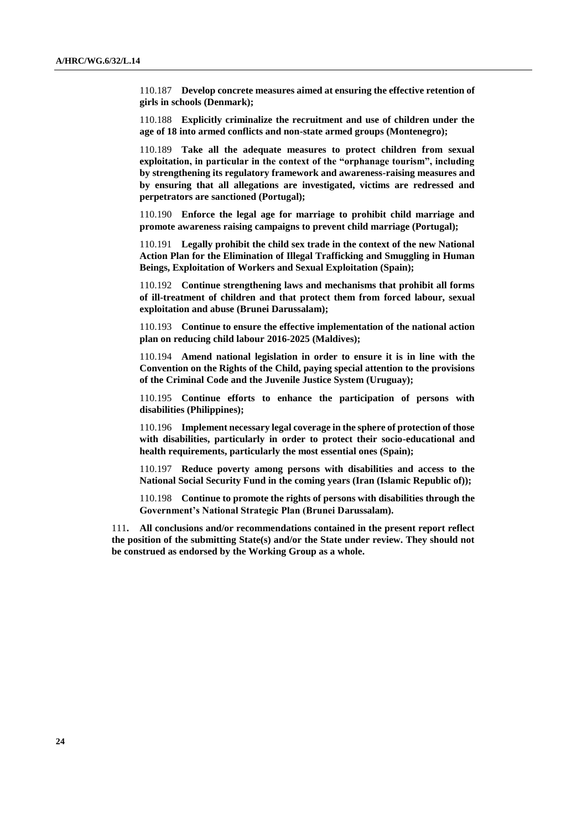110.187 **Develop concrete measures aimed at ensuring the effective retention of girls in schools (Denmark);**

110.188 **Explicitly criminalize the recruitment and use of children under the age of 18 into armed conflicts and non-state armed groups (Montenegro);**

110.189 **Take all the adequate measures to protect children from sexual exploitation, in particular in the context of the "orphanage tourism", including by strengthening its regulatory framework and awareness-raising measures and by ensuring that all allegations are investigated, victims are redressed and perpetrators are sanctioned (Portugal);**

110.190 **Enforce the legal age for marriage to prohibit child marriage and promote awareness raising campaigns to prevent child marriage (Portugal);**

110.191 **Legally prohibit the child sex trade in the context of the new National Action Plan for the Elimination of Illegal Trafficking and Smuggling in Human Beings, Exploitation of Workers and Sexual Exploitation (Spain);**

110.192 **Continue strengthening laws and mechanisms that prohibit all forms of ill-treatment of children and that protect them from forced labour, sexual exploitation and abuse (Brunei Darussalam);**

110.193 **Continue to ensure the effective implementation of the national action plan on reducing child labour 2016-2025 (Maldives);**

110.194 **Amend national legislation in order to ensure it is in line with the Convention on the Rights of the Child, paying special attention to the provisions of the Criminal Code and the Juvenile Justice System (Uruguay);**

110.195 **Continue efforts to enhance the participation of persons with disabilities (Philippines);**

110.196 **Implement necessary legal coverage in the sphere of protection of those with disabilities, particularly in order to protect their socio-educational and health requirements, particularly the most essential ones (Spain);**

110.197 **Reduce poverty among persons with disabilities and access to the National Social Security Fund in the coming years (Iran (Islamic Republic of));**

110.198 **Continue to promote the rights of persons with disabilities through the Government's National Strategic Plan (Brunei Darussalam).**

111**. All conclusions and/or recommendations contained in the present report reflect the position of the submitting State(s) and/or the State under review. They should not be construed as endorsed by the Working Group as a whole.**